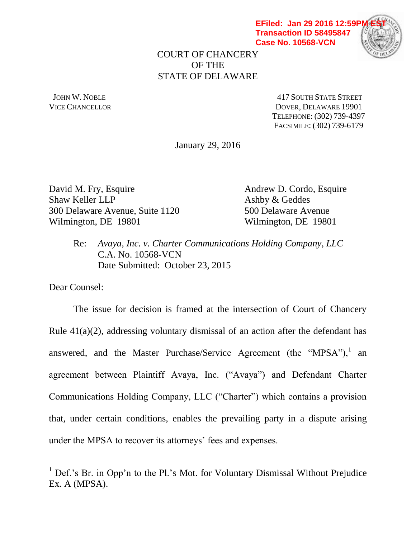**EFiled: Jan 29 2016 12:59P Transaction ID 58495847 Case No. 10568-VCN**



COURT OF CHANCERY OF THE STATE OF DELAWARE

 JOHN W. NOBLE 417 SOUTH STATE STREET VICE CHANCELLOR DOVER, DELAWARE 19901 TELEPHONE: (302) 739-4397 FACSIMILE: (302) 739-6179

January 29, 2016

David M. Fry, Esquire Andrew D. Cordo, Esquire Shaw Keller LLP Ashby & Geddes 300 Delaware Avenue, Suite 1120 500 Delaware Avenue Wilmington, DE 19801 Wilmington, DE 19801

Re: *Avaya, Inc. v. Charter Communications Holding Company, LLC* C.A. No. 10568-VCN Date Submitted: October 23, 2015

Dear Counsel:

 $\overline{a}$ 

The issue for decision is framed at the intersection of Court of Chancery Rule  $41(a)(2)$ , addressing voluntary dismissal of an action after the defendant has answered, and the Master Purchase/Service Agreement (the "MPSA"), an agreement between Plaintiff Avaya, Inc. ("Avaya") and Defendant Charter Communications Holding Company, LLC ("Charter") which contains a provision that, under certain conditions, enables the prevailing party in a dispute arising under the MPSA to recover its attorneys' fees and expenses.

 $<sup>1</sup>$  Def.'s Br. in Opp'n to the Pl.'s Mot. for Voluntary Dismissal Without Prejudice</sup> Ex. A (MPSA).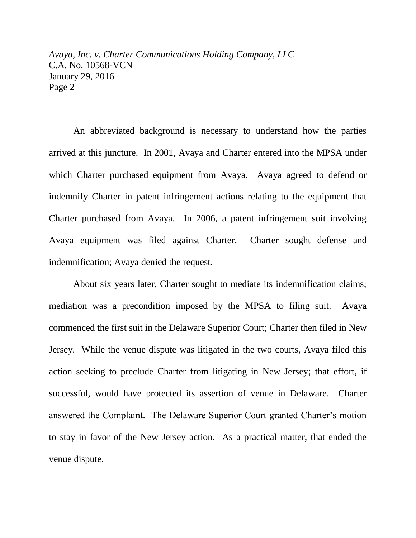An abbreviated background is necessary to understand how the parties arrived at this juncture. In 2001, Avaya and Charter entered into the MPSA under which Charter purchased equipment from Avaya. Avaya agreed to defend or indemnify Charter in patent infringement actions relating to the equipment that Charter purchased from Avaya. In 2006, a patent infringement suit involving Avaya equipment was filed against Charter. Charter sought defense and indemnification; Avaya denied the request.

About six years later, Charter sought to mediate its indemnification claims; mediation was a precondition imposed by the MPSA to filing suit. Avaya commenced the first suit in the Delaware Superior Court; Charter then filed in New Jersey. While the venue dispute was litigated in the two courts, Avaya filed this action seeking to preclude Charter from litigating in New Jersey; that effort, if successful, would have protected its assertion of venue in Delaware. Charter answered the Complaint. The Delaware Superior Court granted Charter's motion to stay in favor of the New Jersey action. As a practical matter, that ended the venue dispute.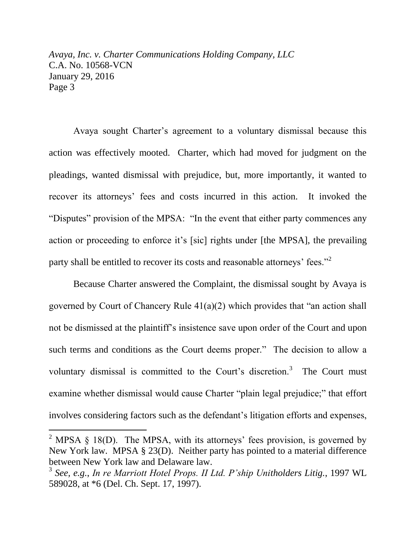Avaya sought Charter's agreement to a voluntary dismissal because this action was effectively mooted. Charter, which had moved for judgment on the pleadings, wanted dismissal with prejudice, but, more importantly, it wanted to recover its attorneys' fees and costs incurred in this action. It invoked the "Disputes" provision of the MPSA: "In the event that either party commences any action or proceeding to enforce it's [sic] rights under [the MPSA], the prevailing party shall be entitled to recover its costs and reasonable attorneys' fees."<sup>2</sup>

Because Charter answered the Complaint, the dismissal sought by Avaya is governed by Court of Chancery Rule 41(a)(2) which provides that "an action shall not be dismissed at the plaintiff's insistence save upon order of the Court and upon such terms and conditions as the Court deems proper." The decision to allow a voluntary dismissal is committed to the Court's discretion.<sup>3</sup> The Court must examine whether dismissal would cause Charter "plain legal prejudice;" that effort involves considering factors such as the defendant's litigation efforts and expenses,

 $\overline{a}$ 

<sup>&</sup>lt;sup>2</sup> MPSA  $\S$  18(D). The MPSA, with its attorneys' fees provision, is governed by New York law. MPSA § 23(D). Neither party has pointed to a material difference between New York law and Delaware law.

<sup>3</sup> *See, e.g.*, *In re Marriott Hotel Props. II Ltd. P'ship Unitholders Litig.*, 1997 WL 589028, at \*6 (Del. Ch. Sept. 17, 1997).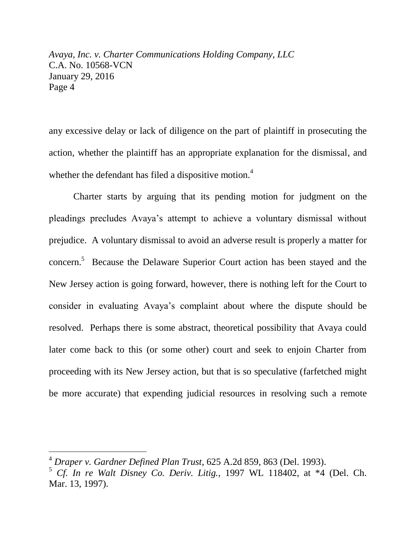any excessive delay or lack of diligence on the part of plaintiff in prosecuting the action, whether the plaintiff has an appropriate explanation for the dismissal, and whether the defendant has filed a dispositive motion.<sup>4</sup>

Charter starts by arguing that its pending motion for judgment on the pleadings precludes Avaya's attempt to achieve a voluntary dismissal without prejudice. A voluntary dismissal to avoid an adverse result is properly a matter for concern.<sup>5</sup> Because the Delaware Superior Court action has been stayed and the New Jersey action is going forward, however, there is nothing left for the Court to consider in evaluating Avaya's complaint about where the dispute should be resolved. Perhaps there is some abstract, theoretical possibility that Avaya could later come back to this (or some other) court and seek to enjoin Charter from proceeding with its New Jersey action, but that is so speculative (farfetched might be more accurate) that expending judicial resources in resolving such a remote

 $\overline{a}$ 

<sup>4</sup> *Draper v. Gardner Defined Plan Trust*, 625 A.2d 859, 863 (Del. 1993).

<sup>5</sup> *Cf. In re Walt Disney Co. Deriv. Litig.*, 1997 WL 118402, at \*4 (Del. Ch. Mar. 13, 1997).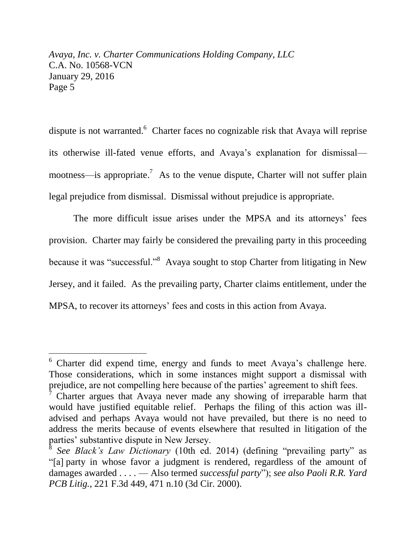dispute is not warranted.<sup>6</sup> Charter faces no cognizable risk that Avaya will reprise its otherwise ill-fated venue efforts, and Avaya's explanation for dismissal mootness—is appropriate.<sup>7</sup> As to the venue dispute, Charter will not suffer plain legal prejudice from dismissal. Dismissal without prejudice is appropriate.

The more difficult issue arises under the MPSA and its attorneys' fees provision. Charter may fairly be considered the prevailing party in this proceeding because it was "successful."<sup>8</sup> Avaya sought to stop Charter from litigating in New Jersey, and it failed. As the prevailing party, Charter claims entitlement, under the MPSA, to recover its attorneys' fees and costs in this action from Avaya.

l

<sup>6</sup> Charter did expend time, energy and funds to meet Avaya's challenge here. Those considerations, which in some instances might support a dismissal with prejudice, are not compelling here because of the parties' agreement to shift fees.

<sup>7</sup> Charter argues that Avaya never made any showing of irreparable harm that would have justified equitable relief. Perhaps the filing of this action was illadvised and perhaps Avaya would not have prevailed, but there is no need to address the merits because of events elsewhere that resulted in litigation of the parties' substantive dispute in New Jersey.

<sup>8</sup> *See Black's Law Dictionary* (10th ed. 2014) (defining "prevailing party" as "[a] party in whose favor a judgment is rendered, regardless of the amount of damages awarded . . . . — Also termed *successful party*"); *see also Paoli R.R. Yard PCB Litig.*, 221 F.3d 449, 471 n.10 (3d Cir. 2000).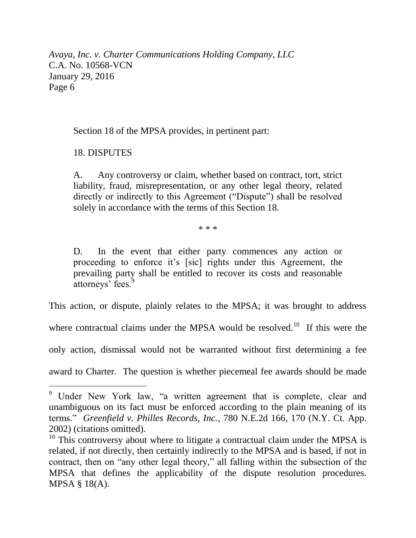Section 18 of the MPSA provides, in pertinent part:

18. DISPUTES

 $\overline{a}$ 

A. Any controversy or claim, whether based on contract, tort, strict liability, fraud, misrepresentation, or any other legal theory, related directly or indirectly to this Agreement ("Dispute") shall be resolved solely in accordance with the terms of this Section 18.

\* \* \*

D. In the event that either party commences any action or proceeding to enforce it's [sic] rights under this Agreement, the prevailing party shall be entitled to recover its costs and reasonable attorneys' fees.<sup>9</sup>

This action, or dispute, plainly relates to the MPSA; it was brought to address

where contractual claims under the MPSA would be resolved.<sup>10</sup> If this were the

only action, dismissal would not be warranted without first determining a fee

award to Charter. The question is whether piecemeal fee awards should be made

<sup>&</sup>lt;sup>9</sup> Under New York law, "a written agreement that is complete, clear and unambiguous on its fact must be enforced according to the plain meaning of its terms." *Greenfield v. Philles Records, Inc.*, 780 N.E.2d 166, 170 (N.Y. Ct. App. 2002) (citations omitted).

<sup>&</sup>lt;sup>10</sup> This controversy about where to litigate a contractual claim under the MPSA is related, if not directly, then certainly indirectly to the MPSA and is based, if not in contract, then on "any other legal theory," all falling within the subsection of the MPSA that defines the applicability of the dispute resolution procedures. MPSA § 18(A).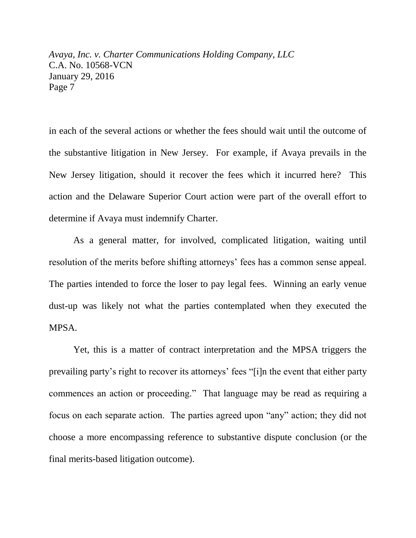in each of the several actions or whether the fees should wait until the outcome of the substantive litigation in New Jersey. For example, if Avaya prevails in the New Jersey litigation, should it recover the fees which it incurred here? This action and the Delaware Superior Court action were part of the overall effort to determine if Avaya must indemnify Charter.

As a general matter, for involved, complicated litigation, waiting until resolution of the merits before shifting attorneys' fees has a common sense appeal. The parties intended to force the loser to pay legal fees. Winning an early venue dust-up was likely not what the parties contemplated when they executed the MPSA.

Yet, this is a matter of contract interpretation and the MPSA triggers the prevailing party's right to recover its attorneys' fees "[i]n the event that either party commences an action or proceeding." That language may be read as requiring a focus on each separate action. The parties agreed upon "any" action; they did not choose a more encompassing reference to substantive dispute conclusion (or the final merits-based litigation outcome).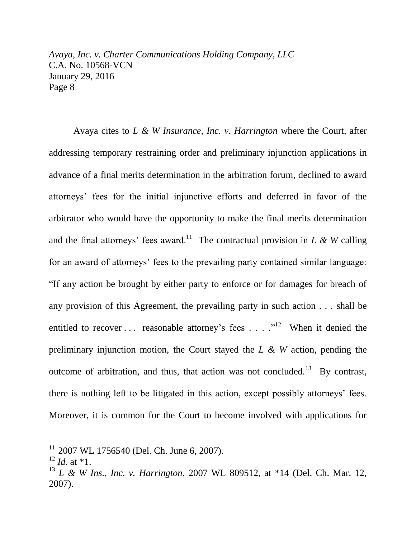Avaya cites to *L & W Insurance, Inc. v. Harrington* where the Court, after addressing temporary restraining order and preliminary injunction applications in advance of a final merits determination in the arbitration forum, declined to award attorneys' fees for the initial injunctive efforts and deferred in favor of the arbitrator who would have the opportunity to make the final merits determination and the final attorneys' fees award.<sup>11</sup> The contractual provision in *L* & *W* calling for an award of attorneys' fees to the prevailing party contained similar language: "If any action be brought by either party to enforce or for damages for breach of any provision of this Agreement, the prevailing party in such action . . . shall be entitled to recover ... reasonable attorney's fees ...  $\cdot$ <sup>12</sup> When it denied the preliminary injunction motion, the Court stayed the *L & W* action, pending the outcome of arbitration, and thus, that action was not concluded.<sup>13</sup> By contrast, there is nothing left to be litigated in this action, except possibly attorneys' fees. Moreover, it is common for the Court to become involved with applications for

 $\overline{a}$ 

 $11$  2007 WL 1756540 (Del. Ch. June 6, 2007).

 $^{12}$  *Id.* at \*1.

<sup>13</sup> *L & W Ins., Inc. v. Harrington*, 2007 WL 809512, at \*14 (Del. Ch. Mar. 12, 2007).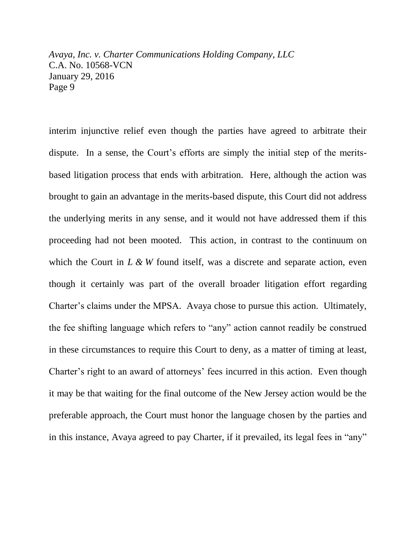interim injunctive relief even though the parties have agreed to arbitrate their dispute. In a sense, the Court's efforts are simply the initial step of the meritsbased litigation process that ends with arbitration. Here, although the action was brought to gain an advantage in the merits-based dispute, this Court did not address the underlying merits in any sense, and it would not have addressed them if this proceeding had not been mooted. This action, in contrast to the continuum on which the Court in *L* & *W* found itself, was a discrete and separate action, even though it certainly was part of the overall broader litigation effort regarding Charter's claims under the MPSA. Avaya chose to pursue this action. Ultimately, the fee shifting language which refers to "any" action cannot readily be construed in these circumstances to require this Court to deny, as a matter of timing at least, Charter's right to an award of attorneys' fees incurred in this action. Even though it may be that waiting for the final outcome of the New Jersey action would be the preferable approach, the Court must honor the language chosen by the parties and in this instance, Avaya agreed to pay Charter, if it prevailed, its legal fees in "any"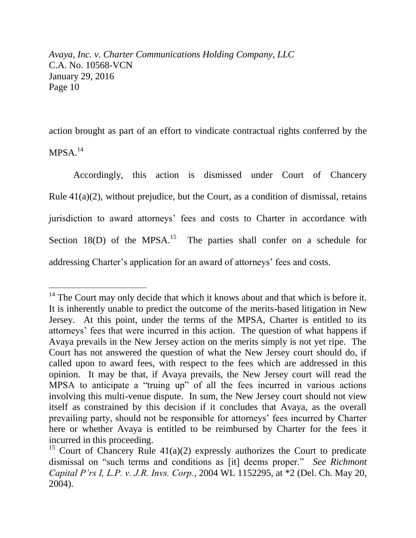$\overline{a}$ 

action brought as part of an effort to vindicate contractual rights conferred by the  $MPSA$ <sup>14</sup>

Accordingly, this action is dismissed under Court of Chancery Rule 41(a)(2), without prejudice, but the Court, as a condition of dismissal, retains jurisdiction to award attorneys' fees and costs to Charter in accordance with Section  $18(D)$  of the MPSA.<sup>15</sup> The parties shall confer on a schedule for addressing Charter's application for an award of attorneys' fees and costs.

 $14$  The Court may only decide that which it knows about and that which is before it. It is inherently unable to predict the outcome of the merits-based litigation in New Jersey. At this point, under the terms of the MPSA, Charter is entitled to its attorneys' fees that were incurred in this action. The question of what happens if Avaya prevails in the New Jersey action on the merits simply is not yet ripe. The Court has not answered the question of what the New Jersey court should do, if called upon to award fees, with respect to the fees which are addressed in this opinion. It may be that, if Avaya prevails, the New Jersey court will read the MPSA to anticipate a "truing up" of all the fees incurred in various actions involving this multi-venue dispute. In sum, the New Jersey court should not view itself as constrained by this decision if it concludes that Avaya, as the overall prevailing party, should not be responsible for attorneys' fees incurred by Charter here or whether Avaya is entitled to be reimbursed by Charter for the fees it incurred in this proceeding.

<sup>&</sup>lt;sup>15</sup> Court of Chancery Rule  $41(a)(2)$  expressly authorizes the Court to predicate dismissal on "such terms and conditions as [it] deems proper." *See Richmont Capital P'rs I, L.P. v. J.R. Invs. Corp.*, 2004 WL 1152295, at \*2 (Del. Ch. May 20, 2004).